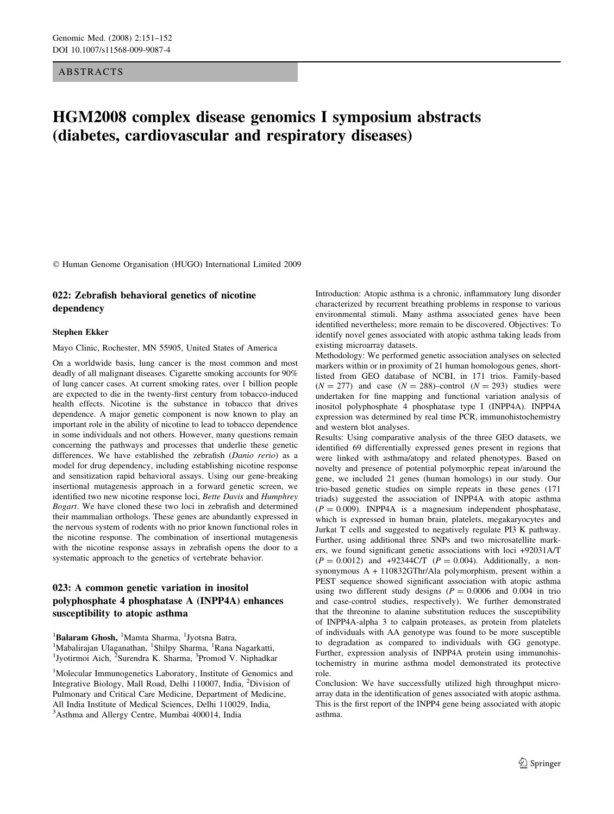ABSTRACTS

# HGM2008 complex disease genomics I symposium abstracts (diabetes, cardiovascular and respiratory diseases)

Human Genome Organisation (HUGO) International Limited 2009

### 022: Zebrafish behavioral genetics of nicotine dependency

#### Stephen Ekker

Mayo Clinic, Rochester, MN 55905, United States of America

On a worldwide basis, lung cancer is the most common and most deadly of all malignant diseases. Cigarette smoking accounts for 90% of lung cancer cases. At current smoking rates, over 1 billion people are expected to die in the twenty-first century from tobacco-induced health effects. Nicotine is the substance in tobacco that drives dependence. A major genetic component is now known to play an important role in the ability of nicotine to lead to tobacco dependence in some individuals and not others. However, many questions remain concerning the pathways and processes that underlie these genetic differences. We have established the zebrafish (Danio rerio) as a model for drug dependency, including establishing nicotine response and sensitization rapid behavioral assays. Using our gene-breaking insertional mutagenesis approach in a forward genetic screen, we identified two new nicotine response loci, Bette Davis and Humphrey Bogart. We have cloned these two loci in zebrafish and determined their mammalian orthologs. These genes are abundantly expressed in the nervous system of rodents with no prior known functional roles in the nicotine response. The combination of insertional mutagenesis with the nicotine response assays in zebrafish opens the door to a systematic approach to the genetics of vertebrate behavior.

## 023: A common genetic variation in inositol polyphosphate 4 phosphatase A (INPP4A) enhances susceptibility to atopic asthma

<sup>1</sup>Balaram Ghosh, <sup>1</sup>Mamta Sharma, <sup>1</sup>Jyotsna Batra, <sup>1</sup>Nabaliraian Ulaganathan <sup>1</sup>Shilpy Sharma, <sup>1</sup>Rana 1 <sup>1</sup>Mabalirajan Ulaganathan, <sup>1</sup>Shilpy Sharma, <sup>1</sup>Rana Nagarkatti, <sup>1</sup>Luotirmoi Aich <sup>2</sup>Surendra K. Sharma, <sup>3</sup>Promod V. Ninhadka Jyotirmoi Aich, <sup>2</sup>Surendra K. Sharma, <sup>3</sup>Promod V. Niphadkar

<sup>1</sup>Molecular Immunogenetics Laboratory, Institute of Genomics and Integrative Biology, Mall Road, Delhi 110007, India, <sup>2</sup> Division of Pulmonary and Critical Care Medicine, Department of Medicine, All India Institute of Medical Sciences, Delhi 110029, India, <sup>3</sup>Asthma and Allergy Centre, Mumbai 400014, India

Introduction: Atopic asthma is a chronic, inflammatory lung disorder characterized by recurrent breathing problems in response to various environmental stimuli. Many asthma associated genes have been identified nevertheless; more remain to be discovered. Objectives: To identify novel genes associated with atopic asthma taking leads from existing microarray datasets.

Methodology: We performed genetic association analyses on selected markers within or in proximity of 21 human homologous genes, shortlisted from GEO database of NCBI, in 171 trios. Family-based  $(N = 277)$  and case  $(N = 288)$ -control  $(N = 293)$  studies were undertaken for fine mapping and functional variation analysis of inositol polyphosphate 4 phosphatase type I (INPP4A). INPP4A expression was determined by real time PCR, immunohistochemistry and western blot analyses.

Results: Using comparative analysis of the three GEO datasets, we identified 69 differentially expressed genes present in regions that were linked with asthma/atopy and related phenotypes. Based on novelty and presence of potential polymorphic repeat in/around the gene, we included 21 genes (human homologs) in our study. Our trio-based genetic studies on simple repeats in these genes (171 triads) suggested the association of INPP4A with atopic asthma  $(P = 0.009)$ . INPP4A is a magnesium independent phosphatase, which is expressed in human brain, platelets, megakaryocytes and Jurkat T cells and suggested to negatively regulate PI3 K pathway. Further, using additional three SNPs and two microsatellite markers, we found significant genetic associations with loci +92031A/T  $(P = 0.0012)$  and  $+92344C/T$   $(P = 0.004)$ . Additionally, a nonsynonymous A + 110832GThr/Ala polymorphism, present within a PEST sequence showed significant association with atopic asthma using two different study designs  $(P = 0.0006$  and 0.004 in trio and case-control studies, respectively). We further demonstrated that the threonine to alanine substitution reduces the susceptibility of INPP4A-alpha 3 to calpain proteases, as protein from platelets of individuals with AA genotype was found to be more susceptible to degradation as compared to individuals with GG genotype. Further, expression analysis of INPP4A protein using immunohistochemistry in murine asthma model demonstrated its protective role.

Conclusion: We have successfully utilized high throughput microarray data in the identification of genes associated with atopic asthma. This is the first report of the INPP4 gene being associated with atopic asthma.